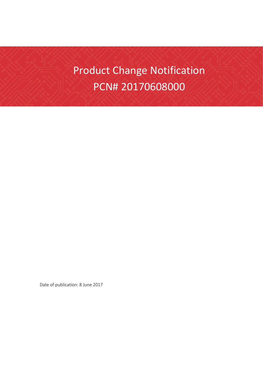# Product Change Notification PCN# 20170608000

Date of publication: 8 June 2017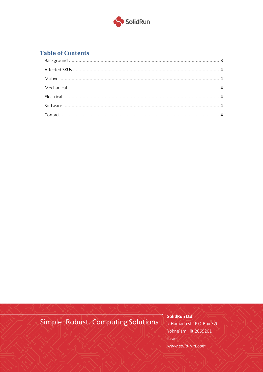

## **Table of Contents**

# Simple. Robust. Computing Solutions

SolidRun Ltd.

7 Hamada st. P.O. Box 320 Yokne'am Illit 2069201 Israel www.solid-run.com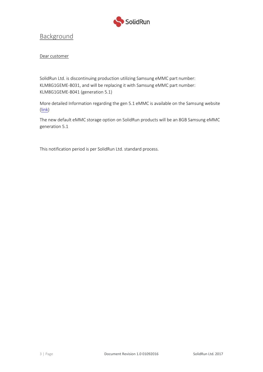

#### <span id="page-2-0"></span>Background

#### Dear customer

SolidRun Ltd. is discontinuing production utilizing Samsung eMMC part number: KLM8G1GEME-B031, and will be replacing it with Samsung eMMC part number: KLM8G1GEME-B041 (generation 5.1)

More detailed Information regarding the gen 5.1 eMMC is available on the Samsung website [\(link\)](http://www.samsung.com/semiconductor/products/flash-storage/emmc/KLM8G1GEME-B041?ia=2324)

The new default eMMC storage option on SolidRun products will be an 8GB Samsung eMMC generation 5.1

This notification period is per SolidRun Ltd. standard process.